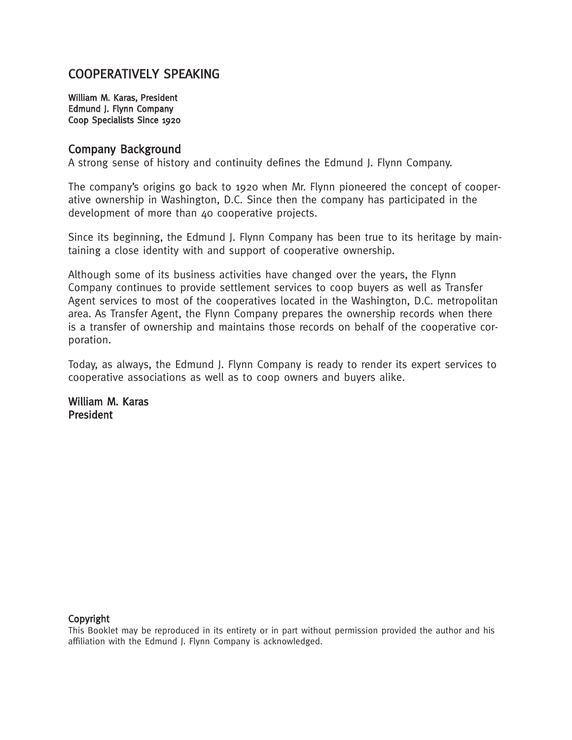## COOPERATIVELY SPEAKING

William M. Karas, President Edmund J. Flynn Company Coop Specialists Since 1920

#### Company Background

A strong sense of history and continuity defines the Edmund J. Flynn Company.

The company's origins go back to 1920 when Mr. Flynn pioneered the concept of cooperative ownership in Washington, D.C. Since then the company has participated in the development of more than 40 cooperative projects.

Since its beginning, the Edmund J. Flynn Company has been true to its heritage by maintaining a close identity with and support of cooperative ownership.

Although some of its business activities have changed over the years, the Flynn Company continues to provide settlement services to coop buyers as well as Transfer Agent services to most of the cooperatives located in the Washington, D.C. metropolitan area. As Transfer Agent, the Flynn Company prepares the ownership records when there is a transfer of ownership and maintains those records on behalf of the cooperative corporation.

Today, as always, the Edmund J. Flynn Company is ready to render its expert services to cooperative associations as well as to coop owners and buyers alike.

William M. Karas President

#### Copyright

This Booklet may be reproduced in its entirety or in part without permission provided the author and his affiliation with the Edmund J. Flynn Company is acknowledged.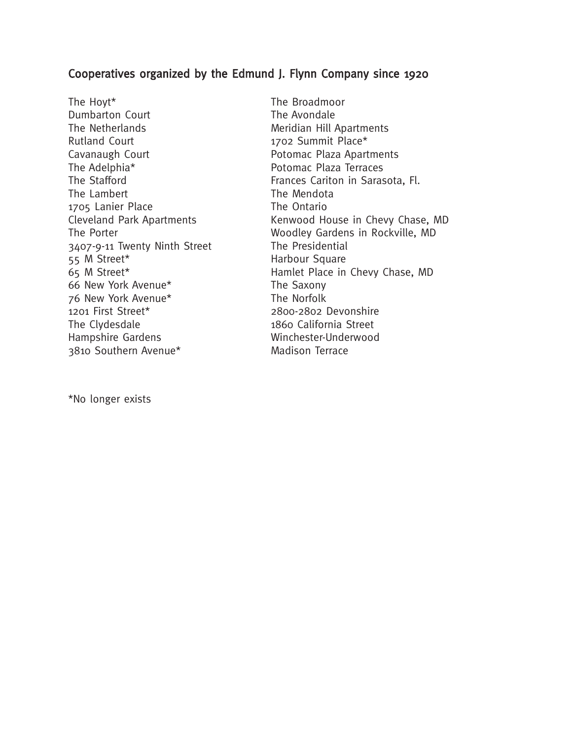### Cooperatives organized by the Edmund J. Flynn Company since 1920

The Hoyt\* The Broadmoor Dumbarton Court **The Avondale** The Netherlands **Meridian Hill Apartments** Rutland Court 1702 Summit Place\* Cavanaugh Court **Potomac Plaza Apartments** The Adelphia\* The Adelphia Potomac Plaza Terraces The Lambert The Mendota 1705 Lanier Place The Ontario 3407-9-11 Twenty Ninth Street The Presidential 55 M Street\* **Harbour Square** 66 New York Avenue\* The Saxony 76 New York Avenue\* The Norfolk 1201 First Street\* 2800-2802 Devonshire The Clydesdale 1860 California Street Hampshire Gardens Winchester-Underwood 3810 Southern Avenue\* Madison Terrace

The Stafford **Frances Cariton in Sarasota, Fl.** Frances Cariton in Sarasota, Fl. Cleveland Park Apartments Kenwood House in Chevy Chase, MD The Porter The Porter Music Contract Music Woodley Gardens in Rockville, MD 65 M Street\* Hamlet Place in Chevy Chase, MD

\*No longer exists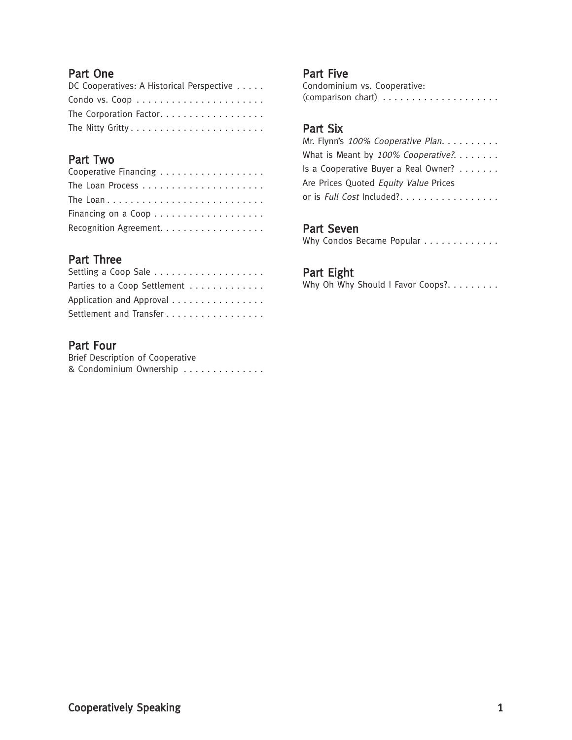### Part One

| DC Cooperatives: A Historical Perspective |
|-------------------------------------------|
|                                           |
| The Corporation Factor.                   |
|                                           |

## Part Two

| Cooperative Financing  |
|------------------------|
|                        |
|                        |
|                        |
| Recognition Agreement. |

## Part Three

| Parties to a Coop Settlement |
|------------------------------|
| Application and Approval     |
| Settlement and Transfer      |

## Part Four

| Brief Description of Cooperative |  |  |  |  |  |  |
|----------------------------------|--|--|--|--|--|--|
| & Condominium Ownership          |  |  |  |  |  |  |

#### Part Five

Condominium vs. Cooperative: (comparison chart) . . . . . . . . . . . . . . . . . . . .

## Part Six

| Mr. Flynn's 100% Cooperative Plan.                   |  |  |  |  |  |  |
|------------------------------------------------------|--|--|--|--|--|--|
| What is Meant by 100% Cooperative?.                  |  |  |  |  |  |  |
| Is a Cooperative Buyer a Real Owner? $\ldots \ldots$ |  |  |  |  |  |  |
| Are Prices Quoted Equity Value Prices                |  |  |  |  |  |  |
| or is Full Cost Included?                            |  |  |  |  |  |  |

## Part Seven

| Why Condos Became Popular |  |  |  |  |  |  |  |  |  |  |  |  |  |  |  |  |
|---------------------------|--|--|--|--|--|--|--|--|--|--|--|--|--|--|--|--|
|---------------------------|--|--|--|--|--|--|--|--|--|--|--|--|--|--|--|--|

### Part Eight

Why Oh Why Should I Favor Coops?........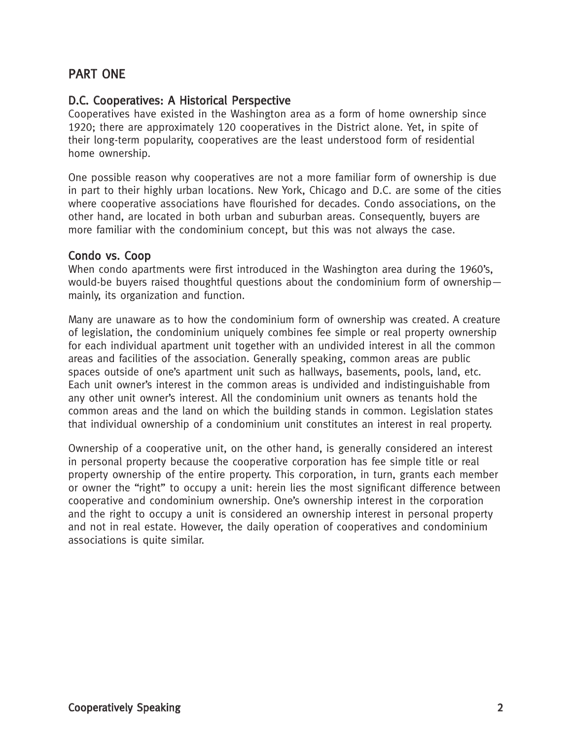## PART ONE

## D.C. Cooperatives: A Historical Perspective

Cooperatives have existed in the Washington area as a form of home ownership since 1920; there are approximately 120 cooperatives in the District alone. Yet, in spite of their long-term popularity, cooperatives are the least understood form of residential home ownership.

One possible reason why cooperatives are not a more familiar form of ownership is due in part to their highly urban locations. New York, Chicago and D.C. are some of the cities where cooperative associations have flourished for decades. Condo associations, on the other hand, are located in both urban and suburban areas. Consequently, buyers are more familiar with the condominium concept, but this was not always the case.

### Condo vs. Coop

When condo apartments were first introduced in the Washington area during the 1960's, would-be buyers raised thoughtful questions about the condominium form of ownership mainly, its organization and function.

Many are unaware as to how the condominium form of ownership was created. A creature of legislation, the condominium uniquely combines fee simple or real property ownership for each individual apartment unit together with an undivided interest in all the common areas and facilities of the association. Generally speaking, common areas are public spaces outside of one's apartment unit such as hallways, basements, pools, land, etc. Each unit owner's interest in the common areas is undivided and indistinguishable from any other unit owner's interest. All the condominium unit owners as tenants hold the common areas and the land on which the building stands in common. Legislation states that individual ownership of a condominium unit constitutes an interest in real property.

Ownership of a cooperative unit, on the other hand, is generally considered an interest in personal property because the cooperative corporation has fee simple title or real property ownership of the entire property. This corporation, in turn, grants each member or owner the "right" to occupy a unit: herein lies the most significant difference between cooperative and condominium ownership. One's ownership interest in the corporation and the right to occupy a unit is considered an ownership interest in personal property and not in real estate. However, the daily operation of cooperatives and condominium associations is quite similar.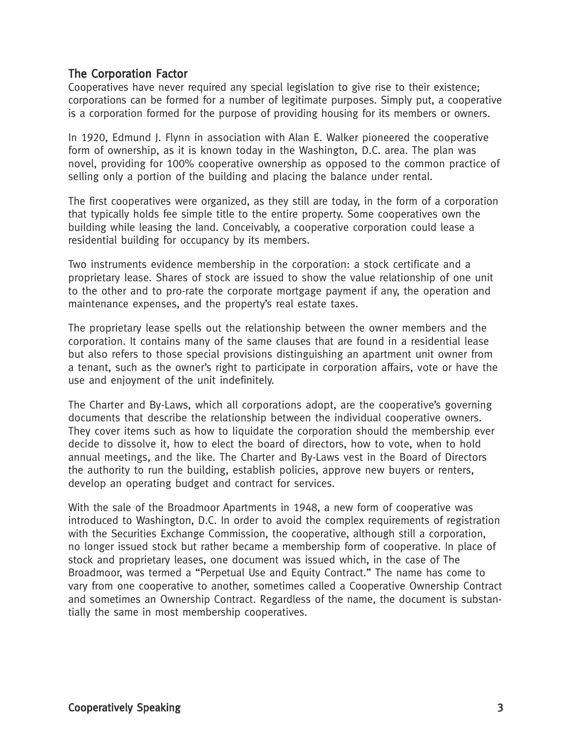#### The Corporation Factor

Cooperatives have never required any special legislation to give rise to their existence; corporations can be formed for a number of legitimate purposes. Simply put, a cooperative is a corporation formed for the purpose of providing housing for its members or owners.

In 1920, Edmund J. Flynn in association with Alan E. Walker pioneered the cooperative form of ownership, as it is known today in the Washington, D.C. area. The plan was novel, providing for 100% cooperative ownership as opposed to the common practice of selling only a portion of the building and placing the balance under rental.

The first cooperatives were organized, as they still are today, in the form of a corporation that typically holds fee simple title to the entire property. Some cooperatives own the building while leasing the land. Conceivably, a cooperative corporation could lease a residential building for occupancy by its members.

Two instruments evidence membership in the corporation: a stock certificate and a proprietary lease. Shares of stock are issued to show the value relationship of one unit to the other and to pro-rate the corporate mortgage payment if any, the operation and maintenance expenses, and the property's real estate taxes.

The proprietary lease spells out the relationship between the owner members and the corporation. It contains many of the same clauses that are found in a residential lease but also refers to those special provisions distinguishing an apartment unit owner from a tenant, such as the owner's right to participate in corporation affairs, vote or have the use and enjoyment of the unit indefinitely.

The Charter and By-Laws, which all corporations adopt, are the cooperative's governing documents that describe the relationship between the individual cooperative owners. They cover items such as how to liquidate the corporation should the membership ever decide to dissolve it, how to elect the board of directors, how to vote, when to hold annual meetings, and the like. The Charter and By-Laws vest in the Board of Directors the authority to run the building, establish policies, approve new buyers or renters, develop an operating budget and contract for services.

With the sale of the Broadmoor Apartments in 1948, a new form of cooperative was introduced to Washington, D.C. In order to avoid the complex requirements of registration with the Securities Exchange Commission, the cooperative, although still a corporation, no longer issued stock but rather became a membership form of cooperative. In place of stock and proprietary leases, one document was issued which, in the case of The Broadmoor, was termed a "Perpetual Use and Equity Contract." The name has come to vary from one cooperative to another, sometimes called a Cooperative Ownership Contract and sometimes an Ownership Contract. Regardless of the name, the document is substantially the same in most membership cooperatives.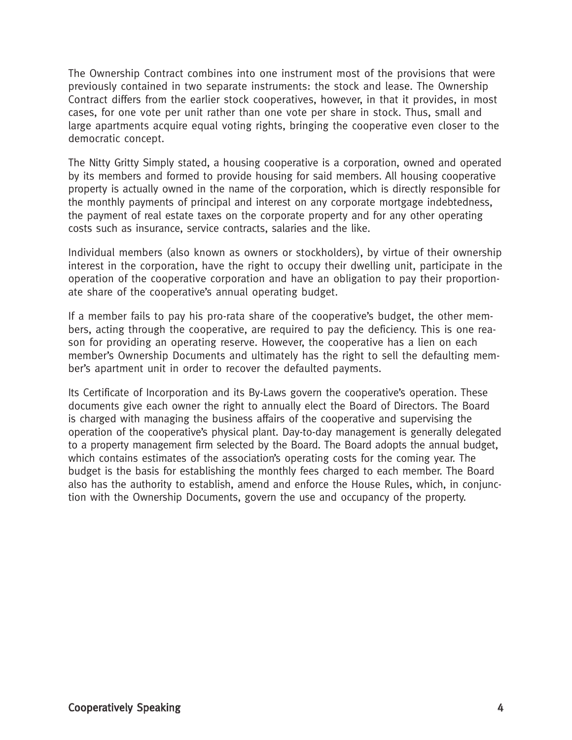The Ownership Contract combines into one instrument most of the provisions that were previously contained in two separate instruments: the stock and lease. The Ownership Contract differs from the earlier stock cooperatives, however, in that it provides, in most cases, for one vote per unit rather than one vote per share in stock. Thus, small and large apartments acquire equal voting rights, bringing the cooperative even closer to the democratic concept.

The Nitty Gritty Simply stated, a housing cooperative is a corporation, owned and operated by its members and formed to provide housing for said members. All housing cooperative property is actually owned in the name of the corporation, which is directly responsible for the monthly payments of principal and interest on any corporate mortgage indebtedness, the payment of real estate taxes on the corporate property and for any other operating costs such as insurance, service contracts, salaries and the like.

Individual members (also known as owners or stockholders), by virtue of their ownership interest in the corporation, have the right to occupy their dwelling unit, participate in the operation of the cooperative corporation and have an obligation to pay their proportionate share of the cooperative's annual operating budget.

If a member fails to pay his pro-rata share of the cooperative's budget, the other members, acting through the cooperative, are required to pay the deficiency. This is one reason for providing an operating reserve. However, the cooperative has a lien on each member's Ownership Documents and ultimately has the right to sell the defaulting member's apartment unit in order to recover the defaulted payments.

Its Certificate of Incorporation and its By-Laws govern the cooperative's operation. These documents give each owner the right to annually elect the Board of Directors. The Board is charged with managing the business affairs of the cooperative and supervising the operation of the cooperative's physical plant. Day-to-day management is generally delegated to a property management firm selected by the Board. The Board adopts the annual budget, which contains estimates of the association's operating costs for the coming year. The budget is the basis for establishing the monthly fees charged to each member. The Board also has the authority to establish, amend and enforce the House Rules, which, in conjunction with the Ownership Documents, govern the use and occupancy of the property.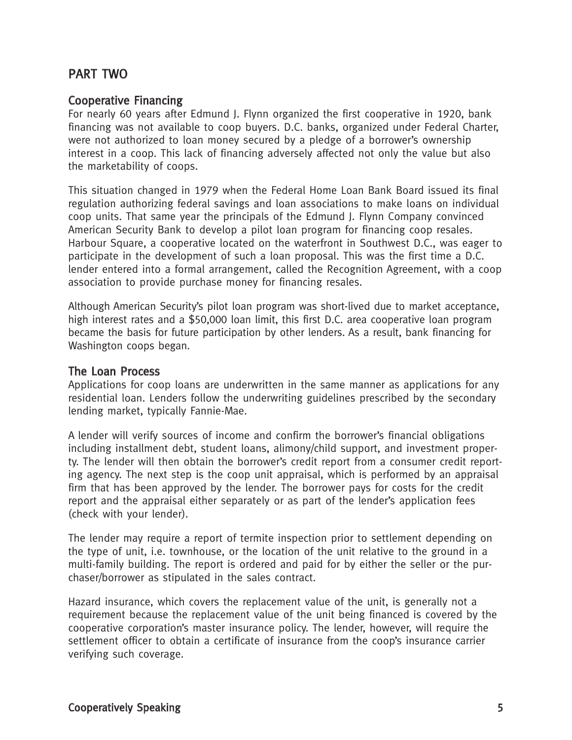## PART TWO

#### Cooperative Financing

For nearly 60 years after Edmund J. Flynn organized the first cooperative in 1920, bank financing was not available to coop buyers. D.C. banks, organized under Federal Charter, were not authorized to loan money secured by a pledge of a borrower's ownership interest in a coop. This lack of financing adversely affected not only the value but also the marketability of coops.

This situation changed in 1979 when the Federal Home Loan Bank Board issued its final regulation authorizing federal savings and loan associations to make loans on individual coop units. That same year the principals of the Edmund J. Flynn Company convinced American Security Bank to develop a pilot loan program for financing coop resales. Harbour Square, a cooperative located on the waterfront in Southwest D.C., was eager to participate in the development of such a loan proposal. This was the first time a D.C. lender entered into a formal arrangement, called the Recognition Agreement, with a coop association to provide purchase money for financing resales.

Although American Security's pilot loan program was short-lived due to market acceptance, high interest rates and a \$50,000 loan limit, this first D.C. area cooperative loan program became the basis for future participation by other lenders. As a result, bank financing for Washington coops began.

#### The Loan Process

Applications for coop loans are underwritten in the same manner as applications for any residential loan. Lenders follow the underwriting guidelines prescribed by the secondary lending market, typically Fannie-Mae.

A lender will verify sources of income and confirm the borrower's financial obligations including installment debt, student loans, alimony/child support, and investment property. The lender will then obtain the borrower's credit report from a consumer credit reporting agency. The next step is the coop unit appraisal, which is performed by an appraisal firm that has been approved by the lender. The borrower pays for costs for the credit report and the appraisal either separately or as part of the lender's application fees (check with your lender).

The lender may require a report of termite inspection prior to settlement depending on the type of unit, i.e. townhouse, or the location of the unit relative to the ground in a multi-family building. The report is ordered and paid for by either the seller or the purchaser/borrower as stipulated in the sales contract.

Hazard insurance, which covers the replacement value of the unit, is generally not a requirement because the replacement value of the unit being financed is covered by the cooperative corporation's master insurance policy. The lender, however, will require the settlement officer to obtain a certificate of insurance from the coop's insurance carrier verifying such coverage.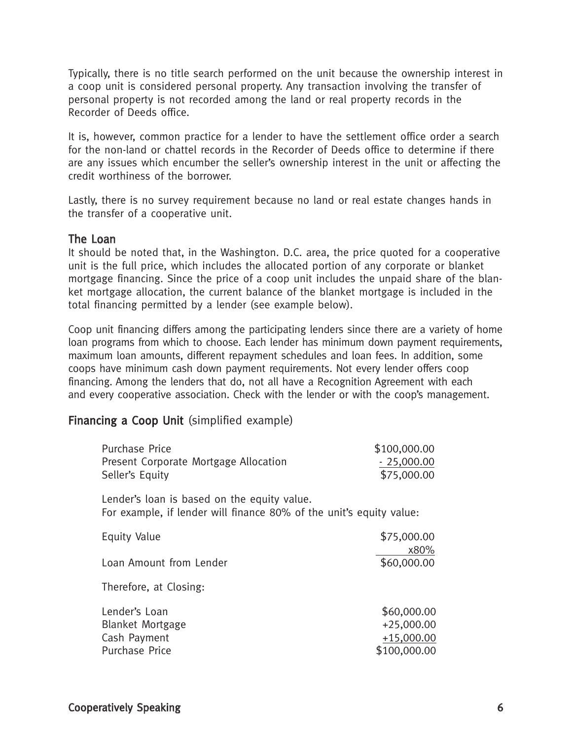Typically, there is no title search performed on the unit because the ownership interest in a coop unit is considered personal property. Any transaction involving the transfer of personal property is not recorded among the land or real property records in the Recorder of Deeds office.

It is, however, common practice for a lender to have the settlement office order a search for the non-land or chattel records in the Recorder of Deeds office to determine if there are any issues which encumber the seller's ownership interest in the unit or affecting the credit worthiness of the borrower.

Lastly, there is no survey requirement because no land or real estate changes hands in the transfer of a cooperative unit.

#### The Loan

It should be noted that, in the Washington. D.C. area, the price quoted for a cooperative unit is the full price, which includes the allocated portion of any corporate or blanket mortgage financing. Since the price of a coop unit includes the unpaid share of the blanket mortgage allocation, the current balance of the blanket mortgage is included in the total financing permitted by a lender (see example below).

Coop unit financing differs among the participating lenders since there are a variety of home loan programs from which to choose. Each lender has minimum down payment requirements, maximum loan amounts, different repayment schedules and loan fees. In addition, some coops have minimum cash down payment requirements. Not every lender offers coop financing. Among the lenders that do, not all have a Recognition Agreement with each and every cooperative association. Check with the lender or with the coop's management.

### Financing a Coop Unit (simplified example)

| <b>Purchase Price</b>                                                                                              | \$100,000.00        |
|--------------------------------------------------------------------------------------------------------------------|---------------------|
| Present Corporate Mortgage Allocation                                                                              | $-25,000.00$        |
| Seller's Equity                                                                                                    | \$75,000.00         |
| Lender's loan is based on the equity value.<br>For example, if lender will finance 80% of the unit's equity value: |                     |
| <b>Equity Value</b>                                                                                                | \$75,000.00<br>x80% |
| Loan Amount from Lender                                                                                            | \$60,000.00         |
| Therefore, at Closing:                                                                                             |                     |
| Lender's Loan                                                                                                      | \$60,000.00         |
| <b>Blanket Mortgage</b>                                                                                            | $+25,000.00$        |
| Cash Payment                                                                                                       | $+15,000.00$        |
| <b>Purchase Price</b>                                                                                              | \$100,000.00        |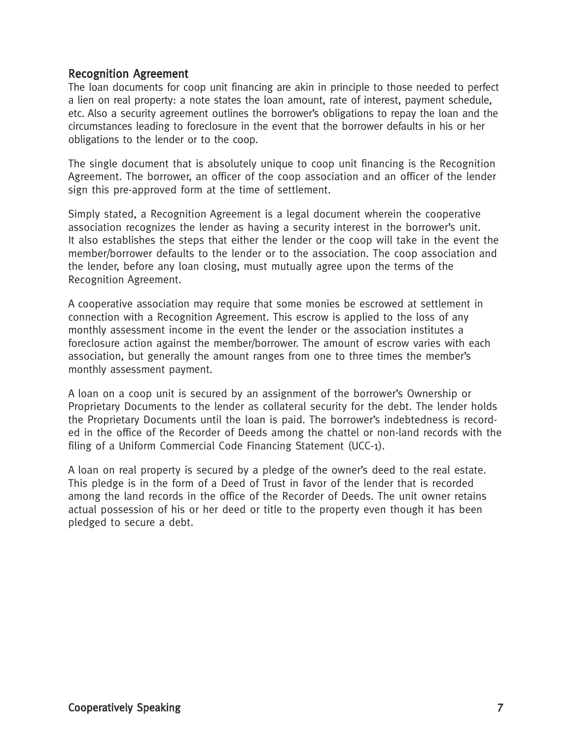#### Recognition Agreement

The loan documents for coop unit financing are akin in principle to those needed to perfect a lien on real property: a note states the loan amount, rate of interest, payment schedule, etc. Also a security agreement outlines the borrower's obligations to repay the loan and the circumstances leading to foreclosure in the event that the borrower defaults in his or her obligations to the lender or to the coop.

The single document that is absolutely unique to coop unit financing is the Recognition Agreement. The borrower, an officer of the coop association and an officer of the lender sign this pre-approved form at the time of settlement.

Simply stated, a Recognition Agreement is a legal document wherein the cooperative association recognizes the lender as having a security interest in the borrower's unit. It also establishes the steps that either the lender or the coop will take in the event the member/borrower defaults to the lender or to the association. The coop association and the lender, before any loan closing, must mutually agree upon the terms of the Recognition Agreement.

A cooperative association may require that some monies be escrowed at settlement in connection with a Recognition Agreement. This escrow is applied to the loss of any monthly assessment income in the event the lender or the association institutes a foreclosure action against the member/borrower. The amount of escrow varies with each association, but generally the amount ranges from one to three times the member's monthly assessment payment.

A loan on a coop unit is secured by an assignment of the borrower's Ownership or Proprietary Documents to the lender as collateral security for the debt. The lender holds the Proprietary Documents until the loan is paid. The borrower's indebtedness is recorded in the office of the Recorder of Deeds among the chattel or non-land records with the filing of a Uniform Commercial Code Financing Statement (UCC-1).

A loan on real property is secured by a pledge of the owner's deed to the real estate. This pledge is in the form of a Deed of Trust in favor of the lender that is recorded among the land records in the office of the Recorder of Deeds. The unit owner retains actual possession of his or her deed or title to the property even though it has been pledged to secure a debt.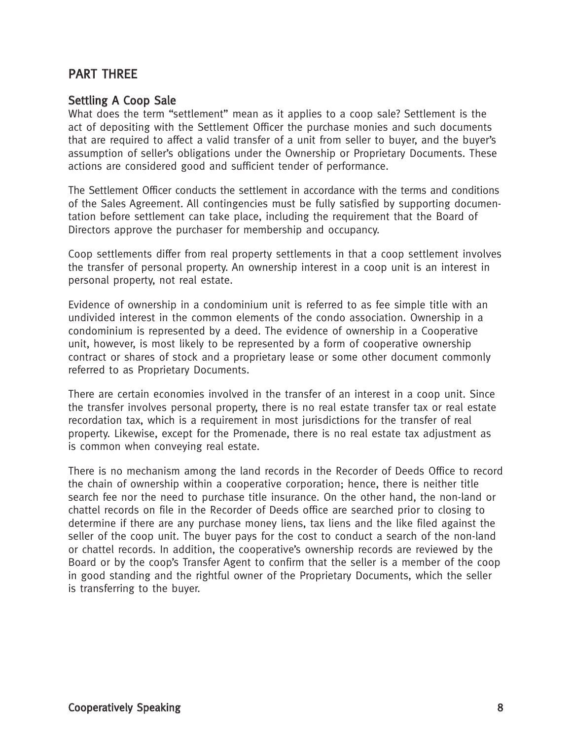## PART THREE

#### Settling A Coop Sale

What does the term "settlement" mean as it applies to a coop sale? Settlement is the act of depositing with the Settlement Officer the purchase monies and such documents that are required to affect a valid transfer of a unit from seller to buyer, and the buyer's assumption of seller's obligations under the Ownership or Proprietary Documents. These actions are considered good and sufficient tender of performance.

The Settlement Officer conducts the settlement in accordance with the terms and conditions of the Sales Agreement. All contingencies must be fully satisfied by supporting documentation before settlement can take place, including the requirement that the Board of Directors approve the purchaser for membership and occupancy.

Coop settlements differ from real property settlements in that a coop settlement involves the transfer of personal property. An ownership interest in a coop unit is an interest in personal property, not real estate.

Evidence of ownership in a condominium unit is referred to as fee simple title with an undivided interest in the common elements of the condo association. Ownership in a condominium is represented by a deed. The evidence of ownership in a Cooperative unit, however, is most likely to be represented by a form of cooperative ownership contract or shares of stock and a proprietary lease or some other document commonly referred to as Proprietary Documents.

There are certain economies involved in the transfer of an interest in a coop unit. Since the transfer involves personal property, there is no real estate transfer tax or real estate recordation tax, which is a requirement in most jurisdictions for the transfer of real property. Likewise, except for the Promenade, there is no real estate tax adjustment as is common when conveying real estate.

There is no mechanism among the land records in the Recorder of Deeds Office to record the chain of ownership within a cooperative corporation; hence, there is neither title search fee nor the need to purchase title insurance. On the other hand, the non-land or chattel records on file in the Recorder of Deeds office are searched prior to closing to determine if there are any purchase money liens, tax liens and the like filed against the seller of the coop unit. The buyer pays for the cost to conduct a search of the non-land or chattel records. In addition, the cooperative's ownership records are reviewed by the Board or by the coop's Transfer Agent to confirm that the seller is a member of the coop in good standing and the rightful owner of the Proprietary Documents, which the seller is transferring to the buyer.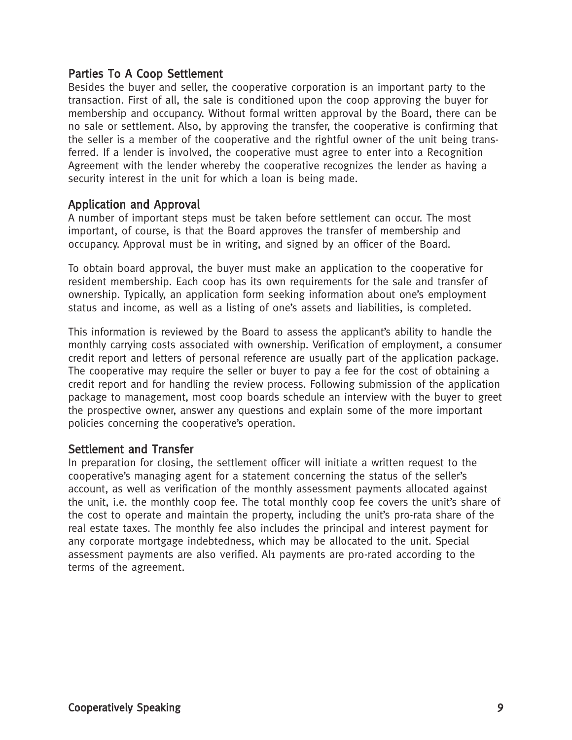#### Parties To A Coop Settlement

Besides the buyer and seller, the cooperative corporation is an important party to the transaction. First of all, the sale is conditioned upon the coop approving the buyer for membership and occupancy. Without formal written approval by the Board, there can be no sale or settlement. Also, by approving the transfer, the cooperative is confirming that the seller is a member of the cooperative and the rightful owner of the unit being transferred. If a lender is involved, the cooperative must agree to enter into a Recognition Agreement with the lender whereby the cooperative recognizes the lender as having a security interest in the unit for which a loan is being made.

#### Application and Approval

A number of important steps must be taken before settlement can occur. The most important, of course, is that the Board approves the transfer of membership and occupancy. Approval must be in writing, and signed by an officer of the Board.

To obtain board approval, the buyer must make an application to the cooperative for resident membership. Each coop has its own requirements for the sale and transfer of ownership. Typically, an application form seeking information about one's employment status and income, as well as a listing of one's assets and liabilities, is completed.

This information is reviewed by the Board to assess the applicant's ability to handle the monthly carrying costs associated with ownership. Verification of employment, a consumer credit report and letters of personal reference are usually part of the application package. The cooperative may require the seller or buyer to pay a fee for the cost of obtaining a credit report and for handling the review process. Following submission of the application package to management, most coop boards schedule an interview with the buyer to greet the prospective owner, answer any questions and explain some of the more important policies concerning the cooperative's operation.

#### Settlement and Transfer

In preparation for closing, the settlement officer will initiate a written request to the cooperative's managing agent for a statement concerning the status of the seller's account, as well as verification of the monthly assessment payments allocated against the unit, i.e. the monthly coop fee. The total monthly coop fee covers the unit's share of the cost to operate and maintain the property, including the unit's pro-rata share of the real estate taxes. The monthly fee also includes the principal and interest payment for any corporate mortgage indebtedness, which may be allocated to the unit. Special assessment payments are also verified. Al1 payments are pro-rated according to the terms of the agreement.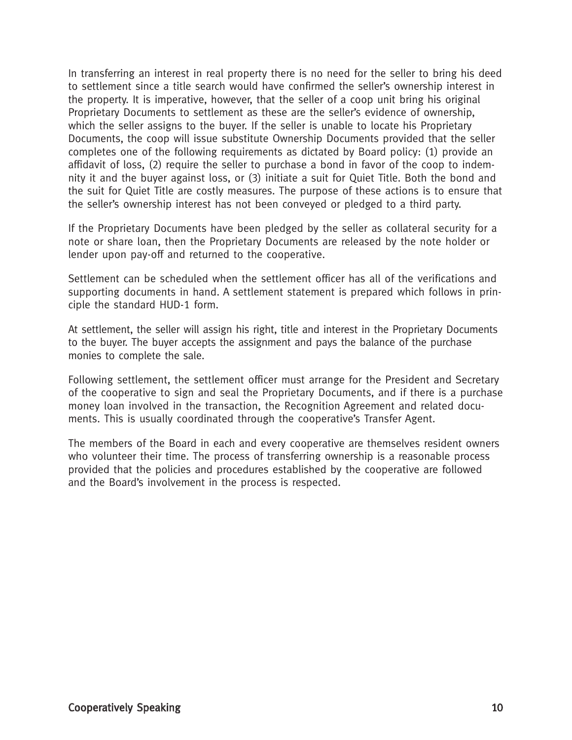In transferring an interest in real property there is no need for the seller to bring his deed to settlement since a title search would have confirmed the seller's ownership interest in the property. It is imperative, however, that the seller of a coop unit bring his original Proprietary Documents to settlement as these are the seller's evidence of ownership, which the seller assigns to the buyer. If the seller is unable to locate his Proprietary Documents, the coop will issue substitute Ownership Documents provided that the seller completes one of the following requirements as dictated by Board policy: (1) provide an affidavit of loss, (2) require the seller to purchase a bond in favor of the coop to indemnity it and the buyer against loss, or (3) initiate a suit for Quiet Title. Both the bond and the suit for Quiet Title are costly measures. The purpose of these actions is to ensure that the seller's ownership interest has not been conveyed or pledged to a third party.

If the Proprietary Documents have been pledged by the seller as collateral security for a note or share loan, then the Proprietary Documents are released by the note holder or lender upon pay-off and returned to the cooperative.

Settlement can be scheduled when the settlement officer has all of the verifications and supporting documents in hand. A settlement statement is prepared which follows in principle the standard HUD-1 form.

At settlement, the seller will assign his right, title and interest in the Proprietary Documents to the buyer. The buyer accepts the assignment and pays the balance of the purchase monies to complete the sale.

Following settlement, the settlement officer must arrange for the President and Secretary of the cooperative to sign and seal the Proprietary Documents, and if there is a purchase money loan involved in the transaction, the Recognition Agreement and related documents. This is usually coordinated through the cooperative's Transfer Agent.

The members of the Board in each and every cooperative are themselves resident owners who volunteer their time. The process of transferring ownership is a reasonable process provided that the policies and procedures established by the cooperative are followed and the Board's involvement in the process is respected.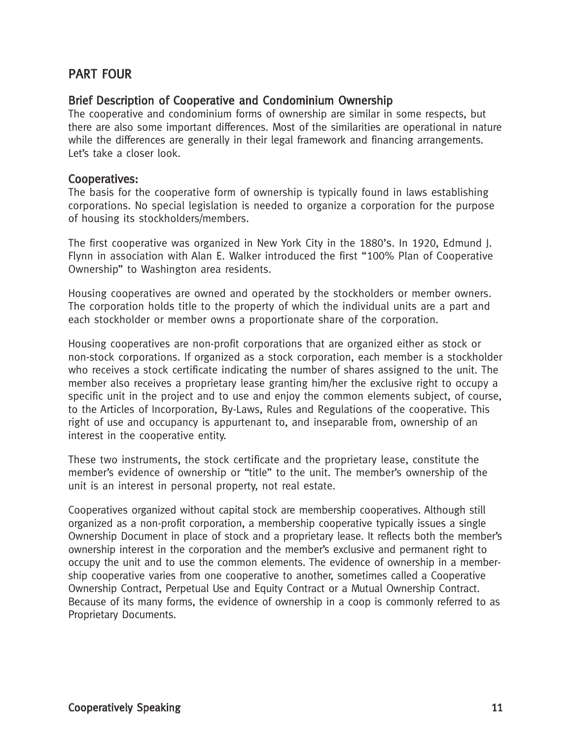## PART FOUR

#### Brief Description of Cooperative and Condominium Ownership

The cooperative and condominium forms of ownership are similar in some respects, but there are also some important differences. Most of the similarities are operational in nature while the differences are generally in their legal framework and financing arrangements. Let's take a closer look.

#### Cooperatives:

The basis for the cooperative form of ownership is typically found in laws establishing corporations. No special legislation is needed to organize a corporation for the purpose of housing its stockholders/members.

The first cooperative was organized in New York City in the 1880's. In 1920, Edmund J. Flynn in association with Alan E. Walker introduced the first "100% Plan of Cooperative Ownership" to Washington area residents.

Housing cooperatives are owned and operated by the stockholders or member owners. The corporation holds title to the property of which the individual units are a part and each stockholder or member owns a proportionate share of the corporation.

Housing cooperatives are non-profit corporations that are organized either as stock or non-stock corporations. If organized as a stock corporation, each member is a stockholder who receives a stock certificate indicating the number of shares assigned to the unit. The member also receives a proprietary lease granting him/her the exclusive right to occupy a specific unit in the project and to use and enjoy the common elements subject, of course, to the Articles of Incorporation, By-Laws, Rules and Regulations of the cooperative. This right of use and occupancy is appurtenant to, and inseparable from, ownership of an interest in the cooperative entity.

These two instruments, the stock certificate and the proprietary lease, constitute the member's evidence of ownership or "title" to the unit. The member's ownership of the unit is an interest in personal property, not real estate.

Cooperatives organized without capital stock are membership cooperatives. Although still organized as a non-profit corporation, a membership cooperative typically issues a single Ownership Document in place of stock and a proprietary lease. It reflects both the member's ownership interest in the corporation and the member's exclusive and permanent right to occupy the unit and to use the common elements. The evidence of ownership in a membership cooperative varies from one cooperative to another, sometimes called a Cooperative Ownership Contract, Perpetual Use and Equity Contract or a Mutual Ownership Contract. Because of its many forms, the evidence of ownership in a coop is commonly referred to as Proprietary Documents.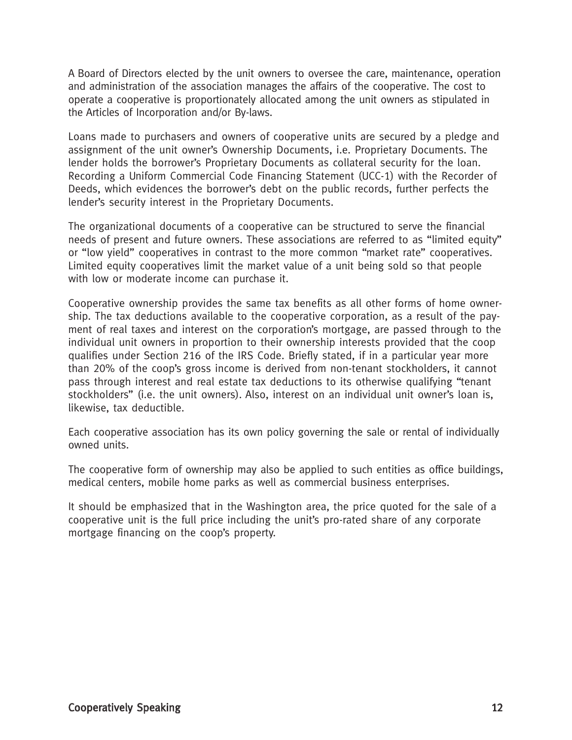A Board of Directors elected by the unit owners to oversee the care, maintenance, operation and administration of the association manages the affairs of the cooperative. The cost to operate a cooperative is proportionately allocated among the unit owners as stipulated in the Articles of Incorporation and/or By-laws.

Loans made to purchasers and owners of cooperative units are secured by a pledge and assignment of the unit owner's Ownership Documents, i.e. Proprietary Documents. The lender holds the borrower's Proprietary Documents as collateral security for the loan. Recording a Uniform Commercial Code Financing Statement (UCC-1) with the Recorder of Deeds, which evidences the borrower's debt on the public records, further perfects the lender's security interest in the Proprietary Documents.

The organizational documents of a cooperative can be structured to serve the financial needs of present and future owners. These associations are referred to as "limited equity" or "low yield" cooperatives in contrast to the more common "market rate" cooperatives. Limited equity cooperatives limit the market value of a unit being sold so that people with low or moderate income can purchase it.

Cooperative ownership provides the same tax benefits as all other forms of home ownership. The tax deductions available to the cooperative corporation, as a result of the payment of real taxes and interest on the corporation's mortgage, are passed through to the individual unit owners in proportion to their ownership interests provided that the coop qualifies under Section 216 of the IRS Code. Briefly stated, if in a particular year more than 20% of the coop's gross income is derived from non-tenant stockholders, it cannot pass through interest and real estate tax deductions to its otherwise qualifying "tenant stockholders" (i.e. the unit owners). Also, interest on an individual unit owner's loan is, likewise, tax deductible.

Each cooperative association has its own policy governing the sale or rental of individually owned units.

The cooperative form of ownership may also be applied to such entities as office buildings, medical centers, mobile home parks as well as commercial business enterprises.

It should be emphasized that in the Washington area, the price quoted for the sale of a cooperative unit is the full price including the unit's pro-rated share of any corporate mortgage financing on the coop's property.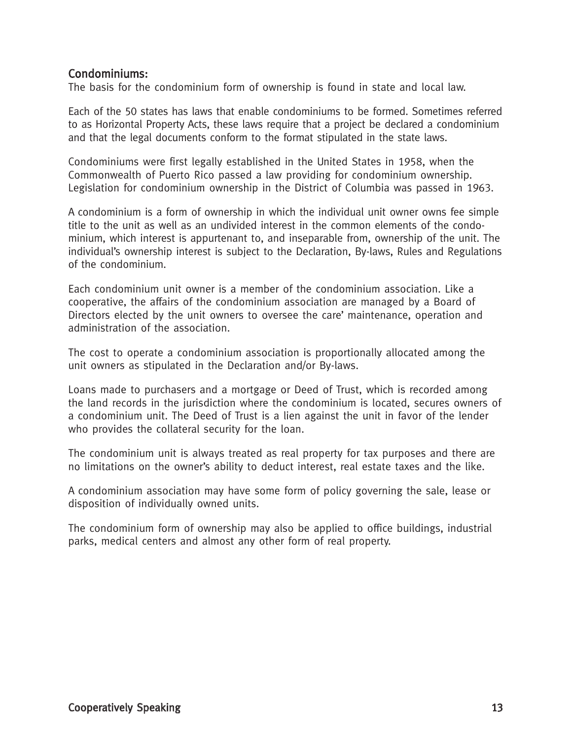#### Condominiums:

The basis for the condominium form of ownership is found in state and local law.

Each of the 50 states has laws that enable condominiums to be formed. Sometimes referred to as Horizontal Property Acts, these laws require that a project be declared a condominium and that the legal documents conform to the format stipulated in the state laws.

Condominiums were first legally established in the United States in 1958, when the Commonwealth of Puerto Rico passed a law providing for condominium ownership. Legislation for condominium ownership in the District of Columbia was passed in 1963.

A condominium is a form of ownership in which the individual unit owner owns fee simple title to the unit as well as an undivided interest in the common elements of the condominium, which interest is appurtenant to, and inseparable from, ownership of the unit. The individual's ownership interest is subject to the Declaration, By-laws, Rules and Regulations of the condominium.

Each condominium unit owner is a member of the condominium association. Like a cooperative, the affairs of the condominium association are managed by a Board of Directors elected by the unit owners to oversee the care' maintenance, operation and administration of the association.

The cost to operate a condominium association is proportionally allocated among the unit owners as stipulated in the Declaration and/or By-laws.

Loans made to purchasers and a mortgage or Deed of Trust, which is recorded among the land records in the jurisdiction where the condominium is located, secures owners of a condominium unit. The Deed of Trust is a lien against the unit in favor of the lender who provides the collateral security for the loan.

The condominium unit is always treated as real property for tax purposes and there are no limitations on the owner's ability to deduct interest, real estate taxes and the like.

A condominium association may have some form of policy governing the sale, lease or disposition of individually owned units.

The condominium form of ownership may also be applied to office buildings, industrial parks, medical centers and almost any other form of real property.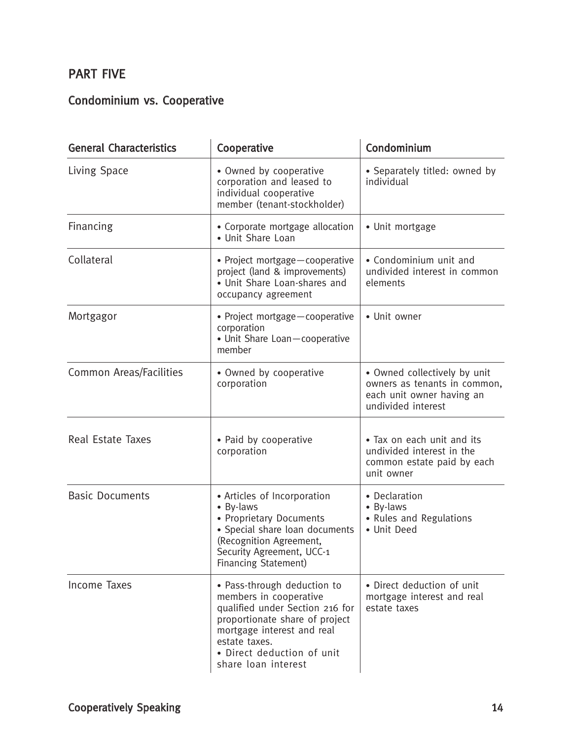## PART FIVE

# Condominium vs. Cooperative

| <b>General Characteristics</b> | Cooperative                                                                                                                                                                                                                    | Condominium                                                                                                     |  |  |  |  |  |  |
|--------------------------------|--------------------------------------------------------------------------------------------------------------------------------------------------------------------------------------------------------------------------------|-----------------------------------------------------------------------------------------------------------------|--|--|--|--|--|--|
| Living Space                   | • Owned by cooperative<br>corporation and leased to<br>individual cooperative<br>member (tenant-stockholder)                                                                                                                   | • Separately titled: owned by<br>individual                                                                     |  |  |  |  |  |  |
| Financing                      | • Corporate mortgage allocation<br>• Unit Share Loan                                                                                                                                                                           | • Unit mortgage                                                                                                 |  |  |  |  |  |  |
| Collateral                     | • Project mortgage-cooperative<br>project (land & improvements)<br>• Unit Share Loan-shares and<br>occupancy agreement                                                                                                         | • Condominium unit and<br>undivided interest in common<br>elements                                              |  |  |  |  |  |  |
| Mortgagor                      | • Project mortgage - cooperative<br>corporation<br>• Unit Share Loan-cooperative<br>member                                                                                                                                     | • Unit owner                                                                                                    |  |  |  |  |  |  |
| <b>Common Areas/Facilities</b> | • Owned by cooperative<br>corporation                                                                                                                                                                                          | • Owned collectively by unit<br>owners as tenants in common,<br>each unit owner having an<br>undivided interest |  |  |  |  |  |  |
| Real Estate Taxes              | • Paid by cooperative<br>corporation                                                                                                                                                                                           | • Tax on each unit and its<br>undivided interest in the<br>common estate paid by each<br>unit owner             |  |  |  |  |  |  |
| <b>Basic Documents</b>         | • Articles of Incorporation<br>• By-laws<br>• Proprietary Documents<br>• Special share loan documents<br>(Recognition Agreement,<br>Security Agreement, UCC-1<br>Financing Statement)                                          | • Declaration<br>• By-laws<br>• Rules and Regulations<br>• Unit Deed                                            |  |  |  |  |  |  |
| Income Taxes                   | • Pass-through deduction to<br>members in cooperative<br>qualified under Section 216 for<br>proportionate share of project<br>mortgage interest and real<br>estate taxes.<br>• Direct deduction of unit<br>share loan interest | • Direct deduction of unit<br>mortgage interest and real<br>estate taxes                                        |  |  |  |  |  |  |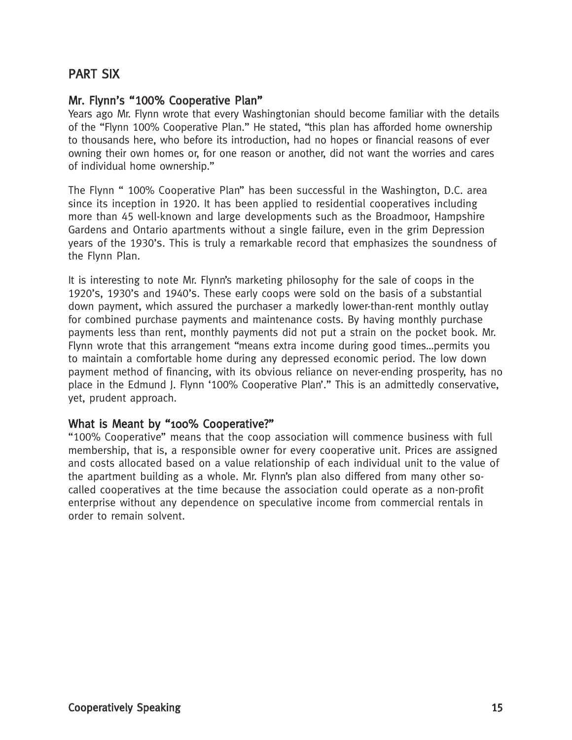## PART SIX

#### Mr. Flynn's "100% Cooperative Plan"

Years ago Mr. Flynn wrote that every Washingtonian should become familiar with the details of the "Flynn 100% Cooperative Plan." He stated, "this plan has afforded home ownership to thousands here, who before its introduction, had no hopes or financial reasons of ever owning their own homes or, for one reason or another, did not want the worries and cares of individual home ownership."

The Flynn " 100% Cooperative Plan" has been successful in the Washington, D.C. area since its inception in 1920. It has been applied to residential cooperatives including more than 45 well-known and large developments such as the Broadmoor, Hampshire Gardens and Ontario apartments without a single failure, even in the grim Depression years of the 1930's. This is truly a remarkable record that emphasizes the soundness of the Flynn Plan.

It is interesting to note Mr. Flynn's marketing philosophy for the sale of coops in the 1920's, 1930's and 1940's. These early coops were sold on the basis of a substantial down payment, which assured the purchaser a markedly lower-than-rent monthly outlay for combined purchase payments and maintenance costs. By having monthly purchase payments less than rent, monthly payments did not put a strain on the pocket book. Mr. Flynn wrote that this arrangement "means extra income during good times…permits you to maintain a comfortable home during any depressed economic period. The low down payment method of financing, with its obvious reliance on never-ending prosperity, has no place in the Edmund J. Flynn '100% Cooperative Plan'." This is an admittedly conservative, yet, prudent approach.

#### What is Meant by "100% Cooperative?"

"100% Cooperative" means that the coop association will commence business with full membership, that is, a responsible owner for every cooperative unit. Prices are assigned and costs allocated based on a value relationship of each individual unit to the value of the apartment building as a whole. Mr. Flynn's plan also differed from many other socalled cooperatives at the time because the association could operate as a non-profit enterprise without any dependence on speculative income from commercial rentals in order to remain solvent.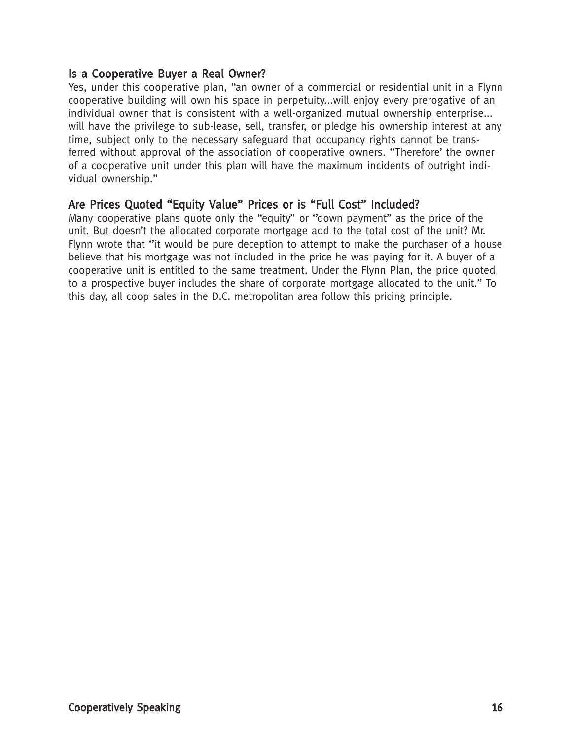#### Is a Cooperative Buyer a Real Owner?

Yes, under this cooperative plan, "an owner of a commercial or residential unit in a Flynn cooperative building will own his space in perpetuity...will enjoy every prerogative of an individual owner that is consistent with a well-organized mutual ownership enterprise... will have the privilege to sub-lease, sell, transfer, or pledge his ownership interest at any time, subject only to the necessary safeguard that occupancy rights cannot be transferred without approval of the association of cooperative owners. "Therefore' the owner of a cooperative unit under this plan will have the maximum incidents of outright individual ownership."

### Are Prices Quoted "Equity Value" Prices or is "Full Cost" Included?

Many cooperative plans quote only the "equity" or ''down payment" as the price of the unit. But doesn't the allocated corporate mortgage add to the total cost of the unit? Mr. Flynn wrote that ''it would be pure deception to attempt to make the purchaser of a house believe that his mortgage was not included in the price he was paying for it. A buyer of a cooperative unit is entitled to the same treatment. Under the Flynn Plan, the price quoted to a prospective buyer includes the share of corporate mortgage allocated to the unit." To this day, all coop sales in the D.C. metropolitan area follow this pricing principle.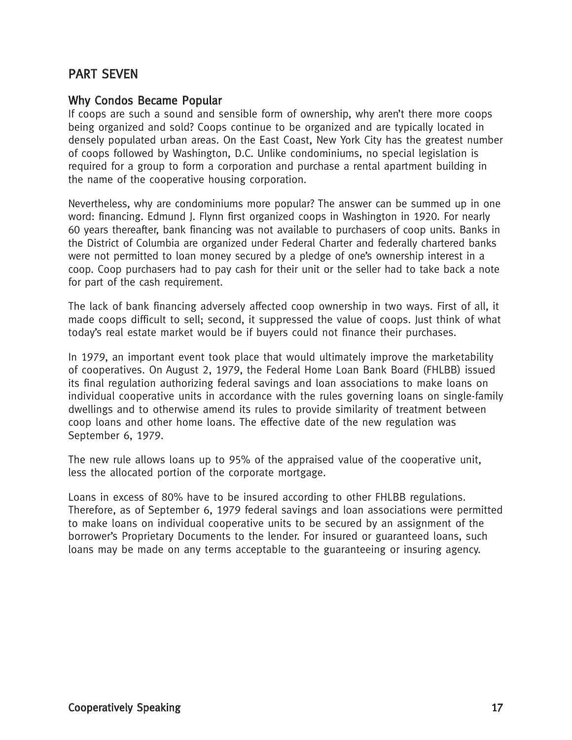## PART SEVEN

#### Why Condos Became Popular

If coops are such a sound and sensible form of ownership, why aren't there more coops being organized and sold? Coops continue to be organized and are typically located in densely populated urban areas. On the East Coast, New York City has the greatest number of coops followed by Washington, D.C. Unlike condominiums, no special legislation is required for a group to form a corporation and purchase a rental apartment building in the name of the cooperative housing corporation.

Nevertheless, why are condominiums more popular? The answer can be summed up in one word: financing. Edmund J. Flynn first organized coops in Washington in 1920. For nearly 60 years thereafter, bank financing was not available to purchasers of coop units. Banks in the District of Columbia are organized under Federal Charter and federally chartered banks were not permitted to loan money secured by a pledge of one's ownership interest in a coop. Coop purchasers had to pay cash for their unit or the seller had to take back a note for part of the cash requirement.

The lack of bank financing adversely affected coop ownership in two ways. First of all, it made coops difficult to sell; second, it suppressed the value of coops. Just think of what today's real estate market would be if buyers could not finance their purchases.

In 1979, an important event took place that would ultimately improve the marketability of cooperatives. On August 2, 1979, the Federal Home Loan Bank Board (FHLBB) issued its final regulation authorizing federal savings and loan associations to make loans on individual cooperative units in accordance with the rules governing loans on single-family dwellings and to otherwise amend its rules to provide similarity of treatment between coop loans and other home loans. The effective date of the new regulation was September 6, 1979.

The new rule allows loans up to 95% of the appraised value of the cooperative unit, less the allocated portion of the corporate mortgage.

Loans in excess of 80% have to be insured according to other FHLBB regulations. Therefore, as of September 6, 1979 federal savings and loan associations were permitted to make loans on individual cooperative units to be secured by an assignment of the borrower's Proprietary Documents to the lender. For insured or guaranteed loans, such loans may be made on any terms acceptable to the guaranteeing or insuring agency.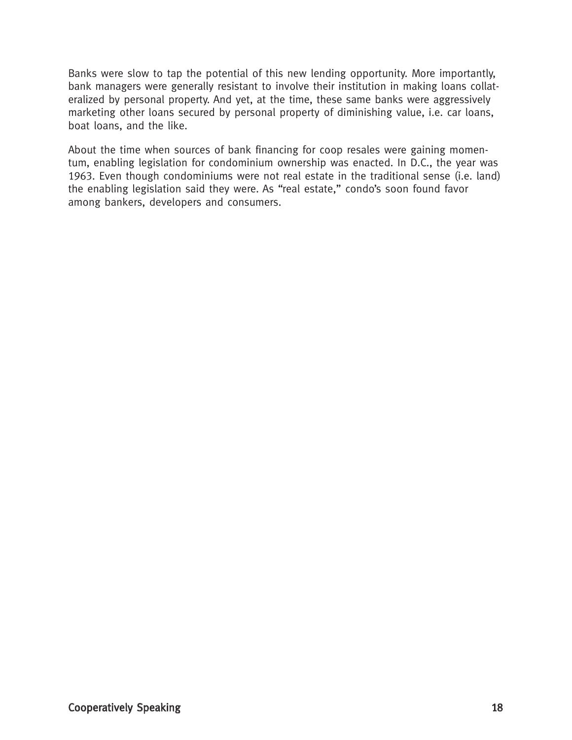Banks were slow to tap the potential of this new lending opportunity. More importantly, bank managers were generally resistant to involve their institution in making loans collateralized by personal property. And yet, at the time, these same banks were aggressively marketing other loans secured by personal property of diminishing value, i.e. car loans, boat loans, and the like.

About the time when sources of bank financing for coop resales were gaining momentum, enabling legislation for condominium ownership was enacted. In D.C., the year was 1963. Even though condominiums were not real estate in the traditional sense (i.e. land) the enabling legislation said they were. As "real estate," condo's soon found favor among bankers, developers and consumers.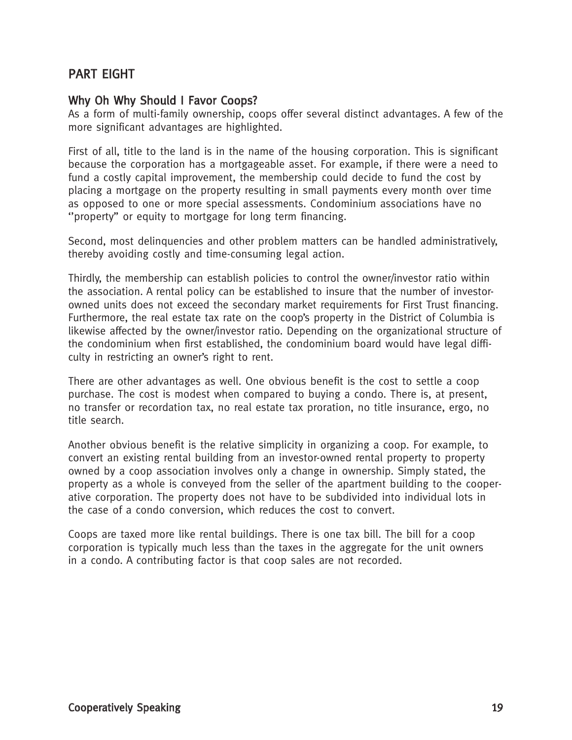## PART EIGHT

#### Why Oh Why Should I Favor Coops?

As a form of multi-family ownership, coops offer several distinct advantages. A few of the more significant advantages are highlighted.

First of all, title to the land is in the name of the housing corporation. This is significant because the corporation has a mortgageable asset. For example, if there were a need to fund a costly capital improvement, the membership could decide to fund the cost by placing a mortgage on the property resulting in small payments every month over time as opposed to one or more special assessments. Condominium associations have no ''property" or equity to mortgage for long term financing.

Second, most delinquencies and other problem matters can be handled administratively, thereby avoiding costly and time-consuming legal action.

Thirdly, the membership can establish policies to control the owner/investor ratio within the association. A rental policy can be established to insure that the number of investorowned units does not exceed the secondary market requirements for First Trust financing. Furthermore, the real estate tax rate on the coop's property in the District of Columbia is likewise affected by the owner/investor ratio. Depending on the organizational structure of the condominium when first established, the condominium board would have legal difficulty in restricting an owner's right to rent.

There are other advantages as well. One obvious benefit is the cost to settle a coop purchase. The cost is modest when compared to buying a condo. There is, at present, no transfer or recordation tax, no real estate tax proration, no title insurance, ergo, no title search.

Another obvious benefit is the relative simplicity in organizing a coop. For example, to convert an existing rental building from an investor-owned rental property to property owned by a coop association involves only a change in ownership. Simply stated, the property as a whole is conveyed from the seller of the apartment building to the cooperative corporation. The property does not have to be subdivided into individual lots in the case of a condo conversion, which reduces the cost to convert.

Coops are taxed more like rental buildings. There is one tax bill. The bill for a coop corporation is typically much less than the taxes in the aggregate for the unit owners in a condo. A contributing factor is that coop sales are not recorded.